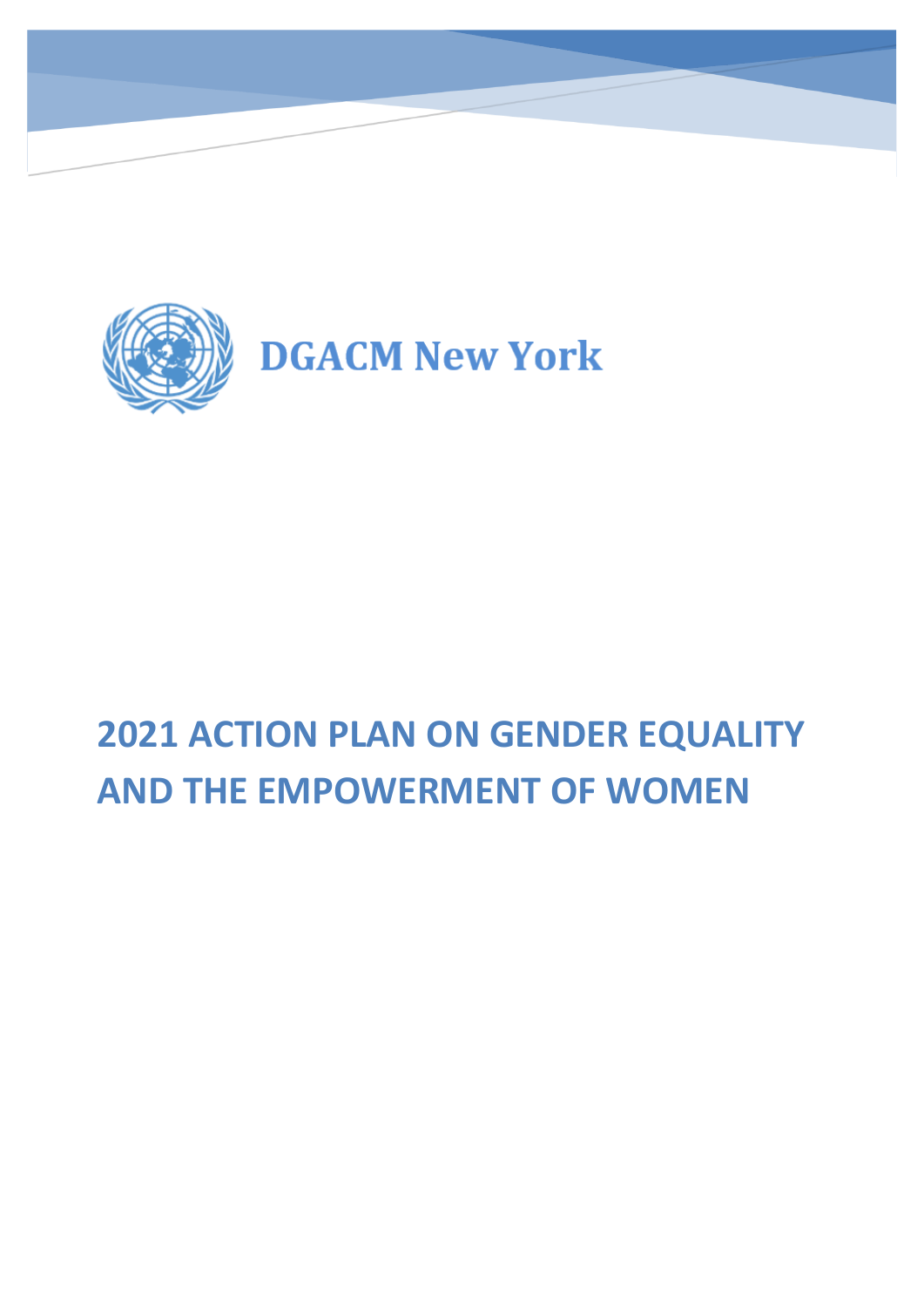

# **2021 ACTION PLAN ON GENDER EQUALITY AND THE EMPOWERMENT OF WOMEN**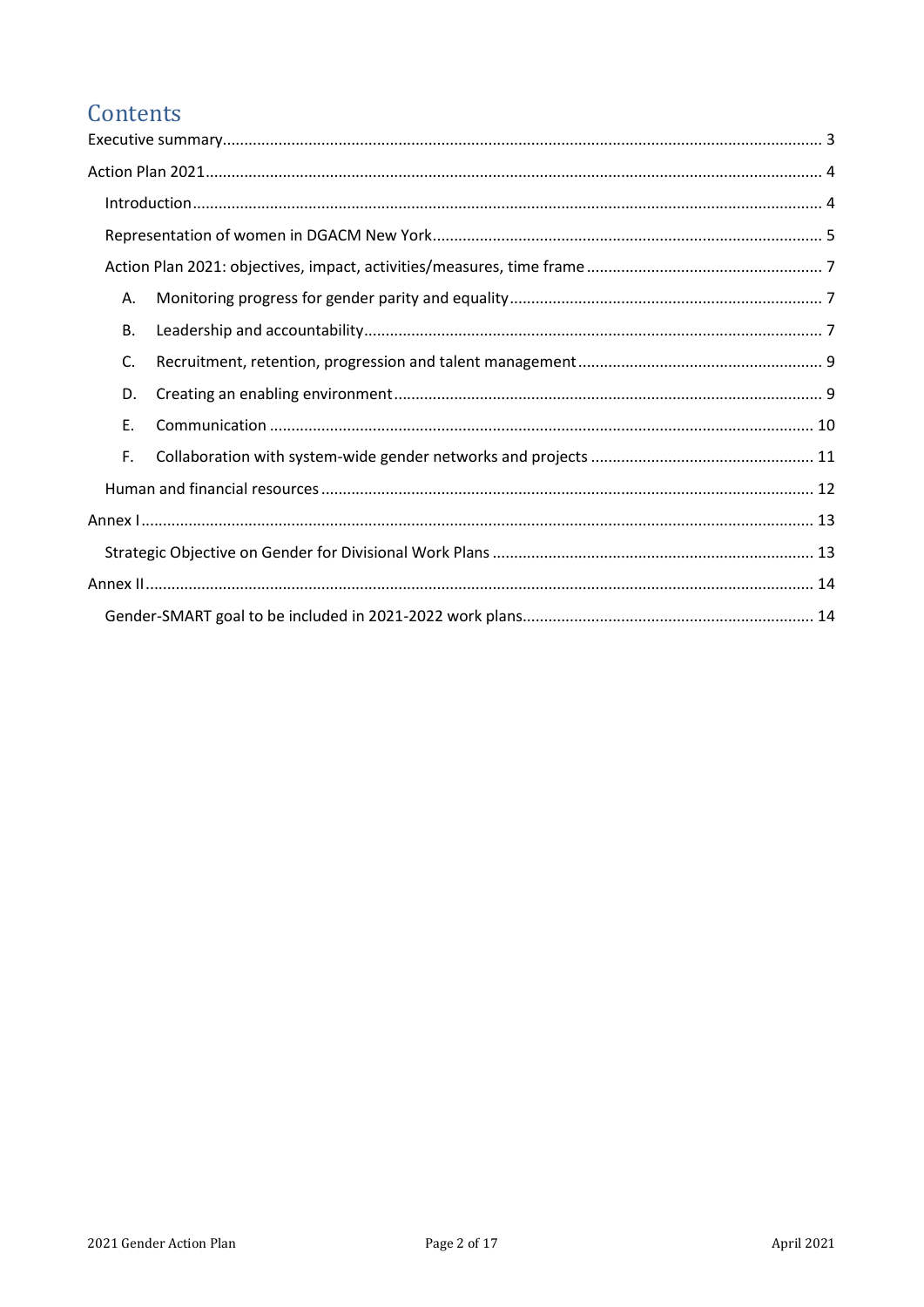## Contents

| Α. |  |
|----|--|
| В. |  |
| C. |  |
| D. |  |
| Ε. |  |
| F. |  |
|    |  |
|    |  |
|    |  |
|    |  |
|    |  |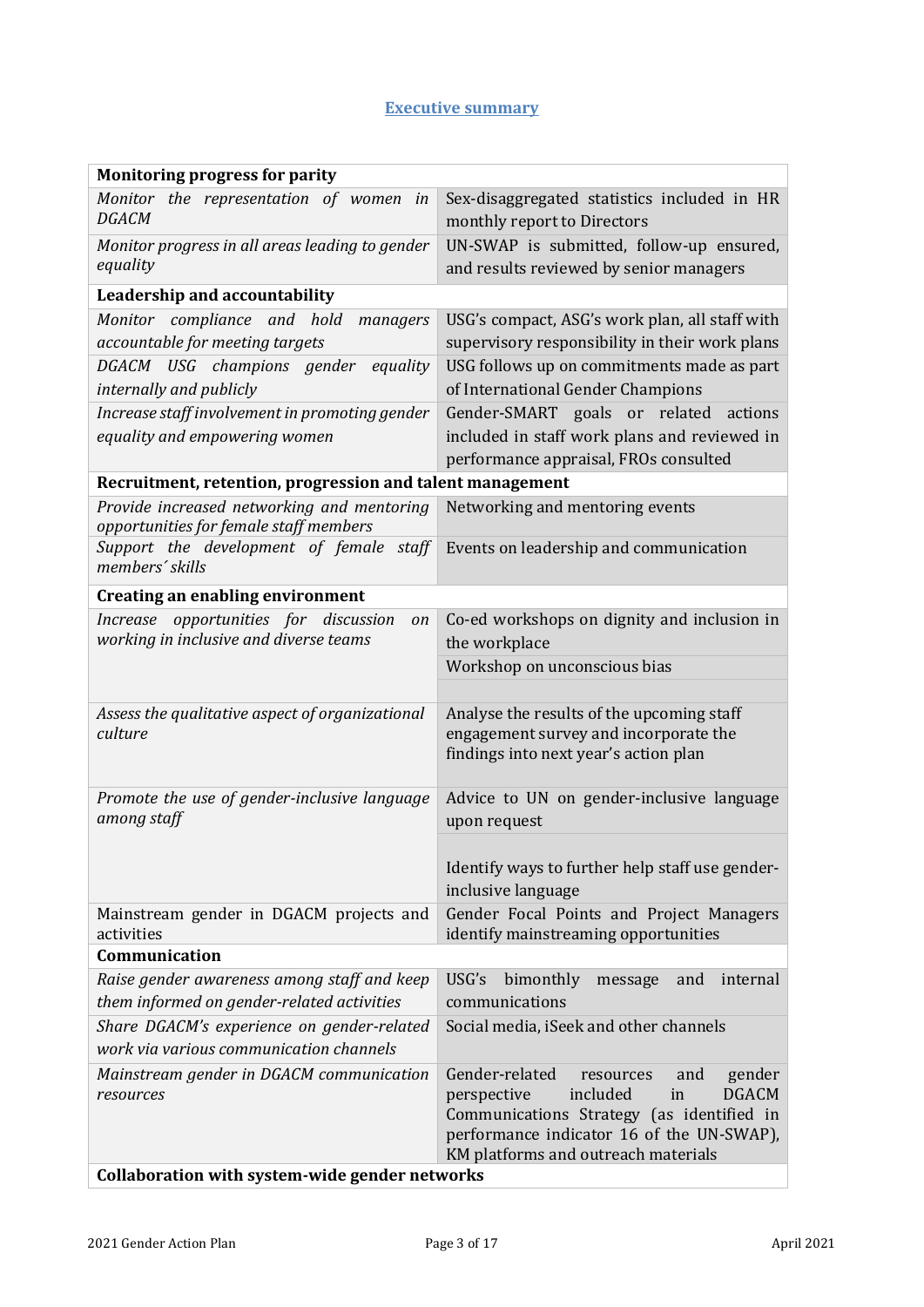#### **Executive summary**

<span id="page-2-0"></span>

| <b>Monitoring progress for parity</b>                                                                          |                                                                                                                                                                                                                                |  |
|----------------------------------------------------------------------------------------------------------------|--------------------------------------------------------------------------------------------------------------------------------------------------------------------------------------------------------------------------------|--|
| Monitor the representation of women<br>in<br><b>DGACM</b>                                                      | Sex-disaggregated statistics included in HR<br>monthly report to Directors                                                                                                                                                     |  |
| Monitor progress in all areas leading to gender<br>equality                                                    | UN-SWAP is submitted, follow-up ensured,<br>and results reviewed by senior managers                                                                                                                                            |  |
| Leadership and accountability                                                                                  |                                                                                                                                                                                                                                |  |
| Monitor compliance and hold<br>managers<br>accountable for meeting targets                                     | USG's compact, ASG's work plan, all staff with<br>supervisory responsibility in their work plans                                                                                                                               |  |
| DGACM USG champions gender<br>equality                                                                         | USG follows up on commitments made as part                                                                                                                                                                                     |  |
| internally and publicly                                                                                        | of International Gender Champions                                                                                                                                                                                              |  |
| Increase staff involvement in promoting gender<br>equality and empowering women                                | Gender-SMART goals or related actions<br>included in staff work plans and reviewed in<br>performance appraisal, FROs consulted                                                                                                 |  |
| Recruitment, retention, progression and talent management                                                      |                                                                                                                                                                                                                                |  |
| Provide increased networking and mentoring<br>opportunities for female staff members                           | Networking and mentoring events                                                                                                                                                                                                |  |
| Support the development of female staff<br>members' skills                                                     | Events on leadership and communication                                                                                                                                                                                         |  |
| <b>Creating an enabling environment</b>                                                                        |                                                                                                                                                                                                                                |  |
| Increase opportunities for discussion<br>on<br>working in inclusive and diverse teams                          | Co-ed workshops on dignity and inclusion in<br>the workplace                                                                                                                                                                   |  |
|                                                                                                                | Workshop on unconscious bias                                                                                                                                                                                                   |  |
|                                                                                                                |                                                                                                                                                                                                                                |  |
| Assess the qualitative aspect of organizational<br>culture                                                     | Analyse the results of the upcoming staff<br>engagement survey and incorporate the<br>findings into next year's action plan                                                                                                    |  |
| Promote the use of gender-inclusive language<br>among staff                                                    | Advice to UN on gender-inclusive language<br>upon request                                                                                                                                                                      |  |
|                                                                                                                | Identify ways to further help staff use gender-<br>inclusive language                                                                                                                                                          |  |
| Mainstream gender in DGACM projects and<br>activities                                                          | Gender Focal Points and Project Managers<br>identify mainstreaming opportunities                                                                                                                                               |  |
| Communication                                                                                                  |                                                                                                                                                                                                                                |  |
| Raise gender awareness among staff and keep<br>them informed on gender-related activities                      | USG's<br>bimonthly<br>internal<br>and<br>message<br>communications                                                                                                                                                             |  |
| Share DGACM's experience on gender-related<br>work via various communication channels                          | Social media, iSeek and other channels                                                                                                                                                                                         |  |
| Mainstream gender in DGACM communication<br>resources<br><b>Collaboration with system-wide gender networks</b> | Gender-related<br>and<br>gender<br>resources<br>included<br><b>DGACM</b><br>perspective<br>in<br>Communications Strategy (as identified in<br>performance indicator 16 of the UN-SWAP),<br>KM platforms and outreach materials |  |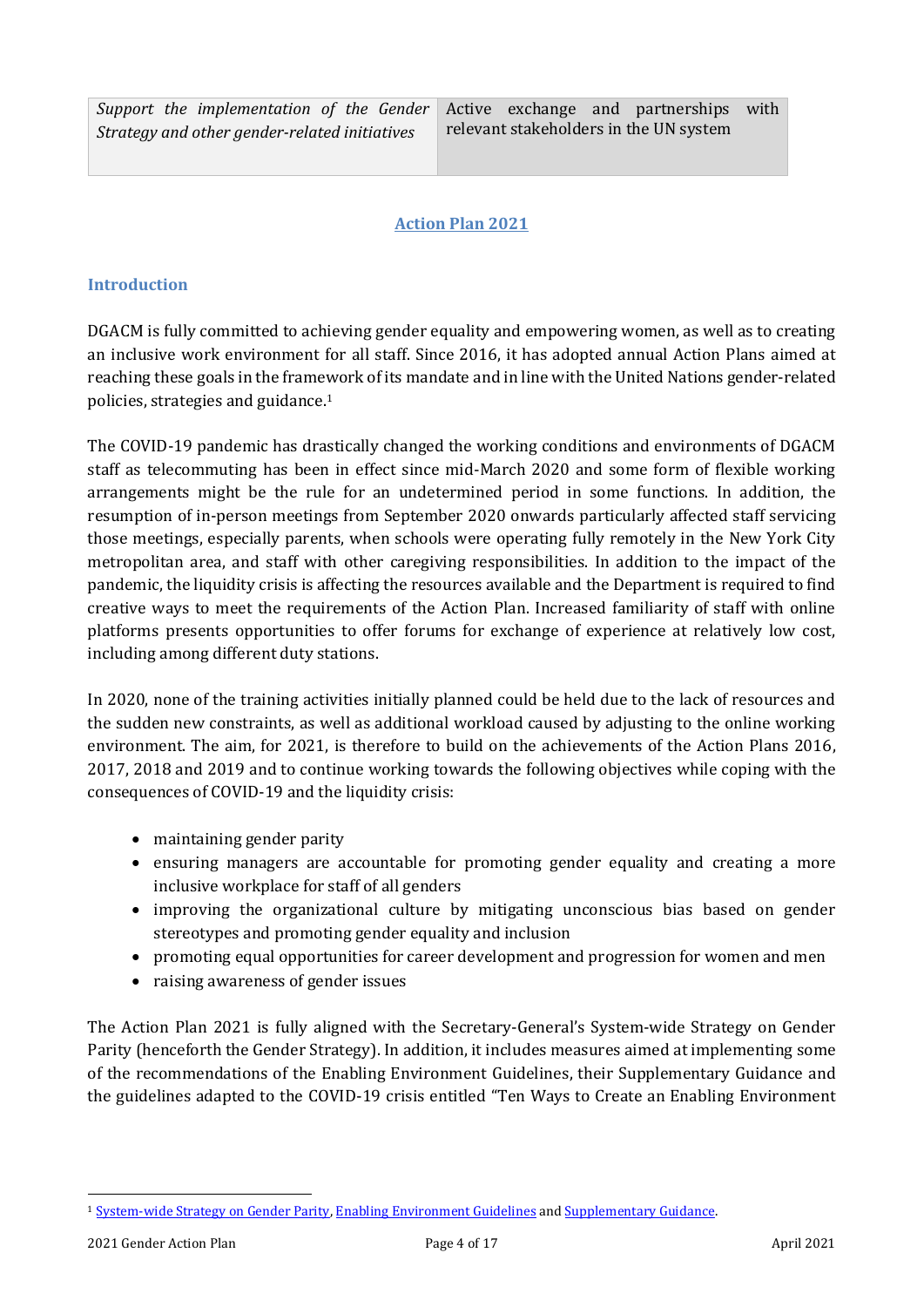## **Action Plan 2021**

#### <span id="page-3-1"></span><span id="page-3-0"></span>**Introduction**

DGACM is fully committed to achieving gender equality and empowering women, as well as to creating an inclusive work environment for all staff. Since 2016, it has adopted annual Action Plans aimed at reaching these goals in the framework of its mandate and in line with the United Nations gender-related policies, strategies and guidance.<sup>1</sup>

The COVID-19 pandemic has drastically changed the working conditions and environments of DGACM staff as telecommuting has been in effect since mid-March 2020 and some form of flexible working arrangements might be the rule for an undetermined period in some functions. In addition, the resumption of in-person meetings from September 2020 onwards particularly affected staff servicing those meetings, especially parents, when schools were operating fully remotely in the New York City metropolitan area, and staff with other caregiving responsibilities. In addition to the impact of the pandemic, the liquidity crisis is affecting the resources available and the Department is required to find creative ways to meet the requirements of the Action Plan. Increased familiarity of staff with online platforms presents opportunities to offer forums for exchange of experience at relatively low cost, including among different duty stations.

In 2020, none of the training activities initially planned could be held due to the lack of resources and the sudden new constraints, as well as additional workload caused by adjusting to the online working environment. The aim, for 2021, is therefore to build on the achievements of the Action Plans 2016, 2017, 2018 and 2019 and to continue working towards the following objectives while coping with the consequences of COVID-19 and the liquidity crisis:

- maintaining gender parity
- ensuring managers are accountable for promoting gender equality and creating a more inclusive workplace for staff of all genders
- improving the organizational culture by mitigating unconscious bias based on gender stereotypes and promoting gender equality and inclusion
- promoting equal opportunities for career development and progression for women and men
- raising awareness of gender issues

The Action Plan 2021 is fully aligned with the Secretary-General's System-wide Strategy on Gender Parity (henceforth the Gender Strategy). In addition, it includes measures aimed at implementing some of the recommendations of the Enabling Environment Guidelines, their Supplementary Guidance and the guidelines adapted to the COVID-19 crisis entitled "Ten Ways to Create an Enabling Environment

<sup>1</sup> [System-wide Strategy on Gender Parity,](https://iseek-newyork.un.org/system/files/17-00102b_gender_strategy_report_13_sept_2017.pdf) [Enabling Environment Guidelines](https://www.unwomen.org/-/media/headquarters/attachments/sections/library/publications/2019/gender-parity-enabling-environment-guidelines-en.pdf?la=en&vs=1535) an[d Supplementary Guidance.](https://www.unwomen.org/-/media/headquarters/attachments/sections/library/publications/2019/gender-parity-enabling-environment-guidelines-supplementary-guidance-en.pdf?la=en&vs=1535)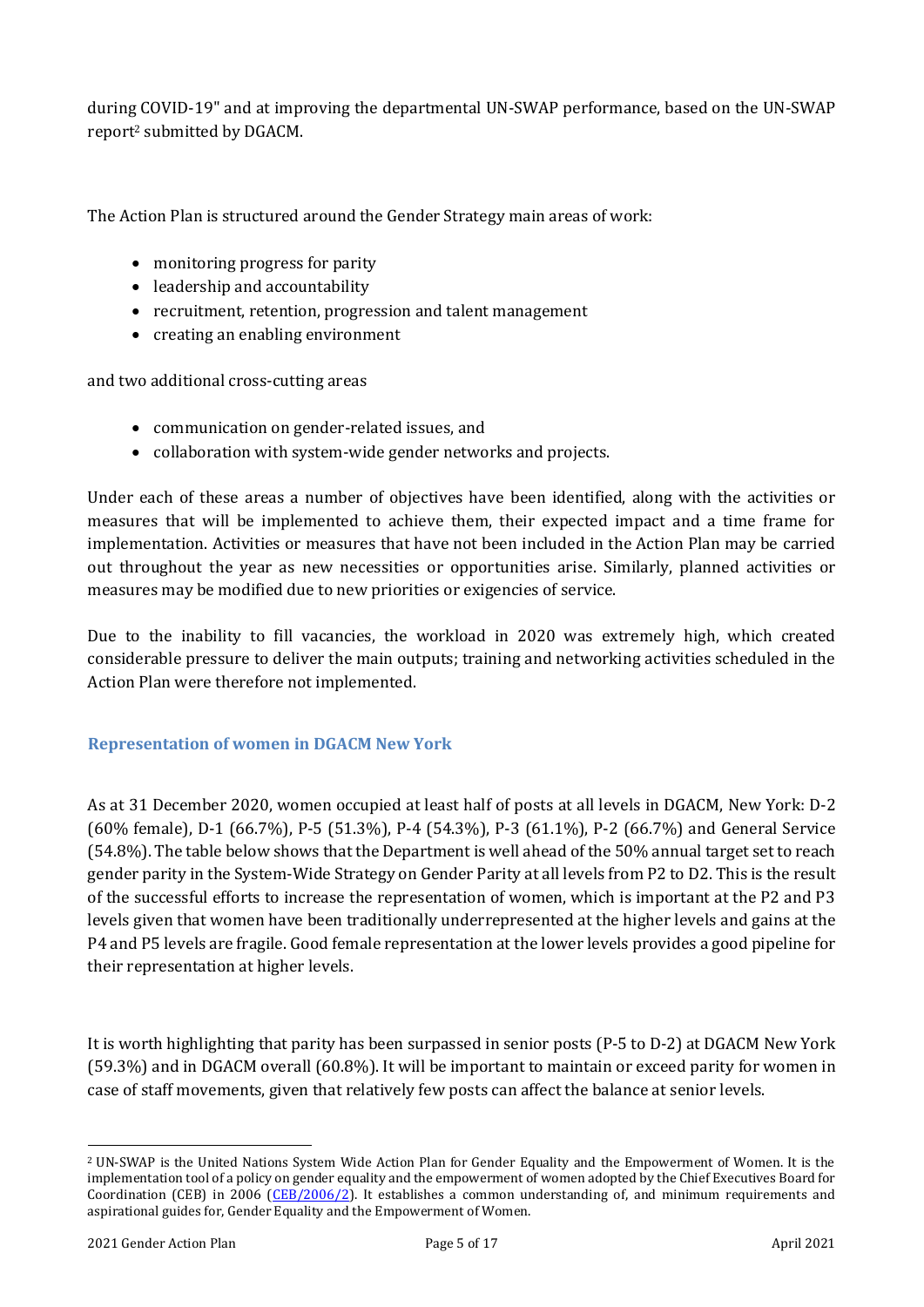during COVID-19" and at improving the departmental UN-SWAP performance, based on the UN-SWAP report<sup>2</sup> submitted by DGACM.

The Action Plan is structured around the Gender Strategy main areas of work:

- monitoring progress for parity
- leadership and accountability
- recruitment, retention, progression and talent management
- creating an enabling environment

and two additional cross-cutting areas

- communication on gender-related issues, and
- collaboration with system-wide gender networks and projects.

Under each of these areas a number of objectives have been identified, along with the activities or measures that will be implemented to achieve them, their expected impact and a time frame for implementation. Activities or measures that have not been included in the Action Plan may be carried out throughout the year as new necessities or opportunities arise. Similarly, planned activities or measures may be modified due to new priorities or exigencies of service.

Due to the inability to fill vacancies, the workload in 2020 was extremely high, which created considerable pressure to deliver the main outputs; training and networking activities scheduled in the Action Plan were therefore not implemented.

#### <span id="page-4-0"></span>**Representation of women in DGACM New York**

As at 31 December 2020, women occupied at least half of posts at all levels in DGACM, New York: D-2 (60% female), D-1 (66.7%), P-5 (51.3%), P-4 (54.3%), P-3 (61.1%), P-2 (66.7%) and General Service (54.8%). The table below shows that the Department is well ahead of the 50% annual target set to reach gender parity in the System-Wide Strategy on Gender Parity at all levels from P2 to D2. This is the result of the successful efforts to increase the representation of women, which is important at the P2 and P3 levels given that women have been traditionally underrepresented at the higher levels and gains at the P4 and P5 levels are fragile. Good female representation at the lower levels provides a good pipeline for their representation at higher levels.

It is worth highlighting that parity has been surpassed in senior posts (P-5 to D-2) at DGACM New York (59.3%) and in DGACM overall (60.8%). It will be important to maintain or exceed parity for women in case of staff movements, given that relatively few posts can affect the balance at senior levels.

<sup>2</sup> UN-SWAP is the United Nations System Wide Action Plan for Gender Equality and the Empowerment of Women. It is the implementation tool of a policy on gender equality and the empowerment of women adopted by the Chief Executives Board for Coordination (CEB) in 2006 [\(CEB/2006/2\)](https://undocs.org/en/CEB/2006/2). It establishes a common understanding of, and minimum requirements and aspirational guides for, Gender Equality and the Empowerment of Women.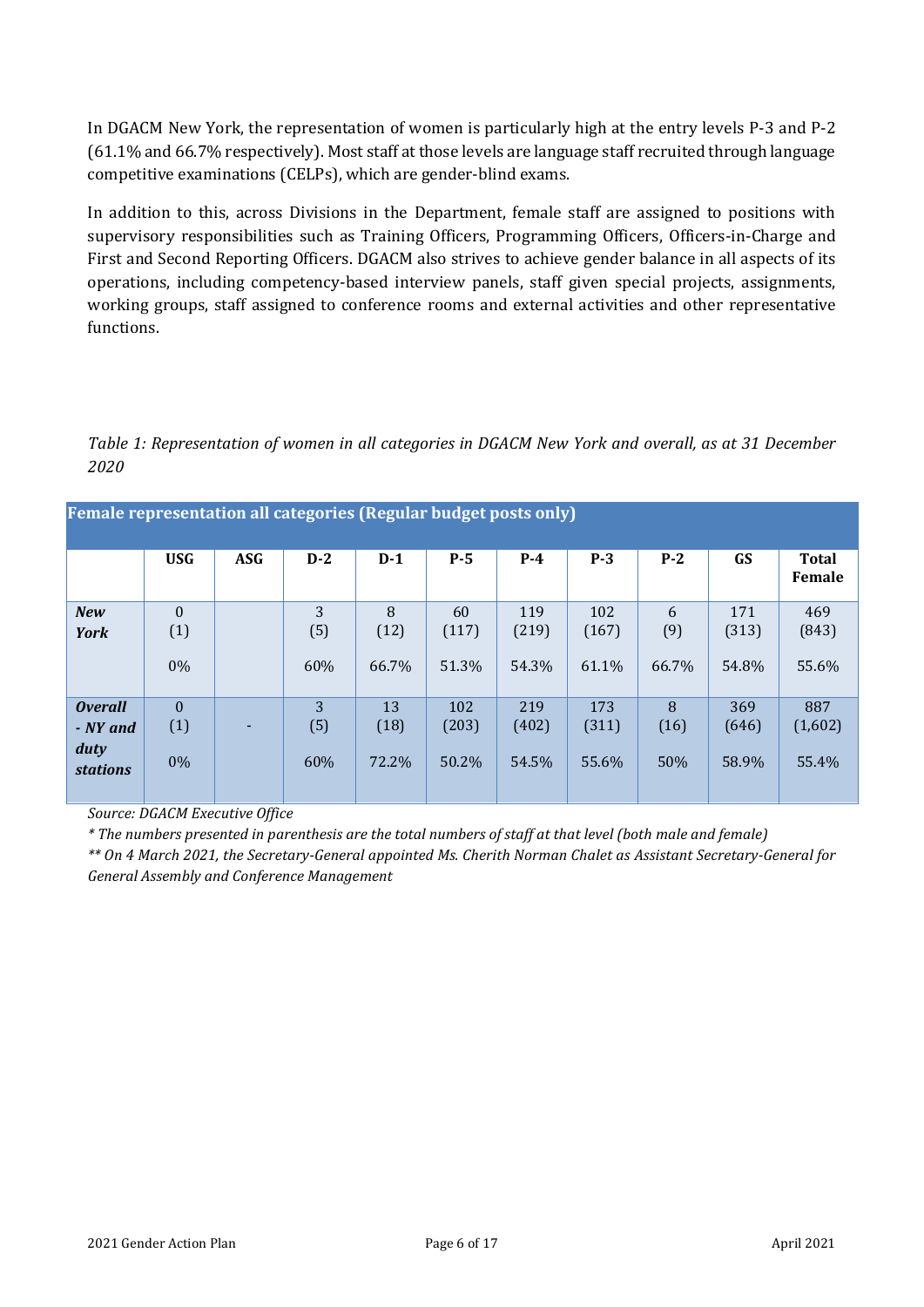In DGACM New York, the representation of women is particularly high at the entry levels P-3 and P-2 (61.1% and 66.7% respectively). Most staff at those levels are language staff recruited through language competitive examinations (CELPs), which are gender-blind exams.

In addition to this, across Divisions in the Department, female staff are assigned to positions with supervisory responsibilities such as Training Officers, Programming Officers, Officers-in-Charge and First and Second Reporting Officers. DGACM also strives to achieve gender balance in all aspects of its operations, including competency-based interview panels, staff given special projects, assignments, working groups, staff assigned to conference rooms and external activities and other representative functions.

*Table 1: Representation of women in all categories in DGACM New York and overall, as at 31 December 2020*

| <b>Female representation all categories (Regular budget posts only)</b> |                          |            |                 |                     |                       |                       |                       |                   |                       |                         |
|-------------------------------------------------------------------------|--------------------------|------------|-----------------|---------------------|-----------------------|-----------------------|-----------------------|-------------------|-----------------------|-------------------------|
|                                                                         | <b>USG</b>               | <b>ASG</b> | $D-2$           | $D-1$               | $P-5$                 | $P-4$                 | $P-3$                 | $P-2$             | GS                    | <b>Total</b><br>Female  |
| <b>New</b><br>York                                                      | $\theta$<br>(1)<br>$0\%$ |            | 3<br>(5)<br>60% | 8<br>(12)<br>66.7%  | 60<br>(117)<br>51.3%  | 119<br>(219)<br>54.3% | 102<br>(167)<br>61.1% | 6<br>(9)<br>66.7% | 171<br>(313)<br>54.8% | 469<br>(843)<br>55.6%   |
| <b>Overall</b><br>- NY and<br>duty<br><b>stations</b>                   | $\theta$<br>(1)<br>$0\%$ | ٠          | 3<br>(5)<br>60% | 13<br>(18)<br>72.2% | 102<br>(203)<br>50.2% | 219<br>(402)<br>54.5% | 173<br>(311)<br>55.6% | 8<br>(16)<br>50%  | 369<br>(646)<br>58.9% | 887<br>(1,602)<br>55.4% |

*Source: DGACM Executive Office*

*\* The numbers presented in parenthesis are the total numbers of staff at that level (both male and female)*

*\*\* On 4 March 2021, the Secretary-General appointed Ms. Cherith Norman Chalet as Assistant Secretary-General for General Assembly and Conference Management*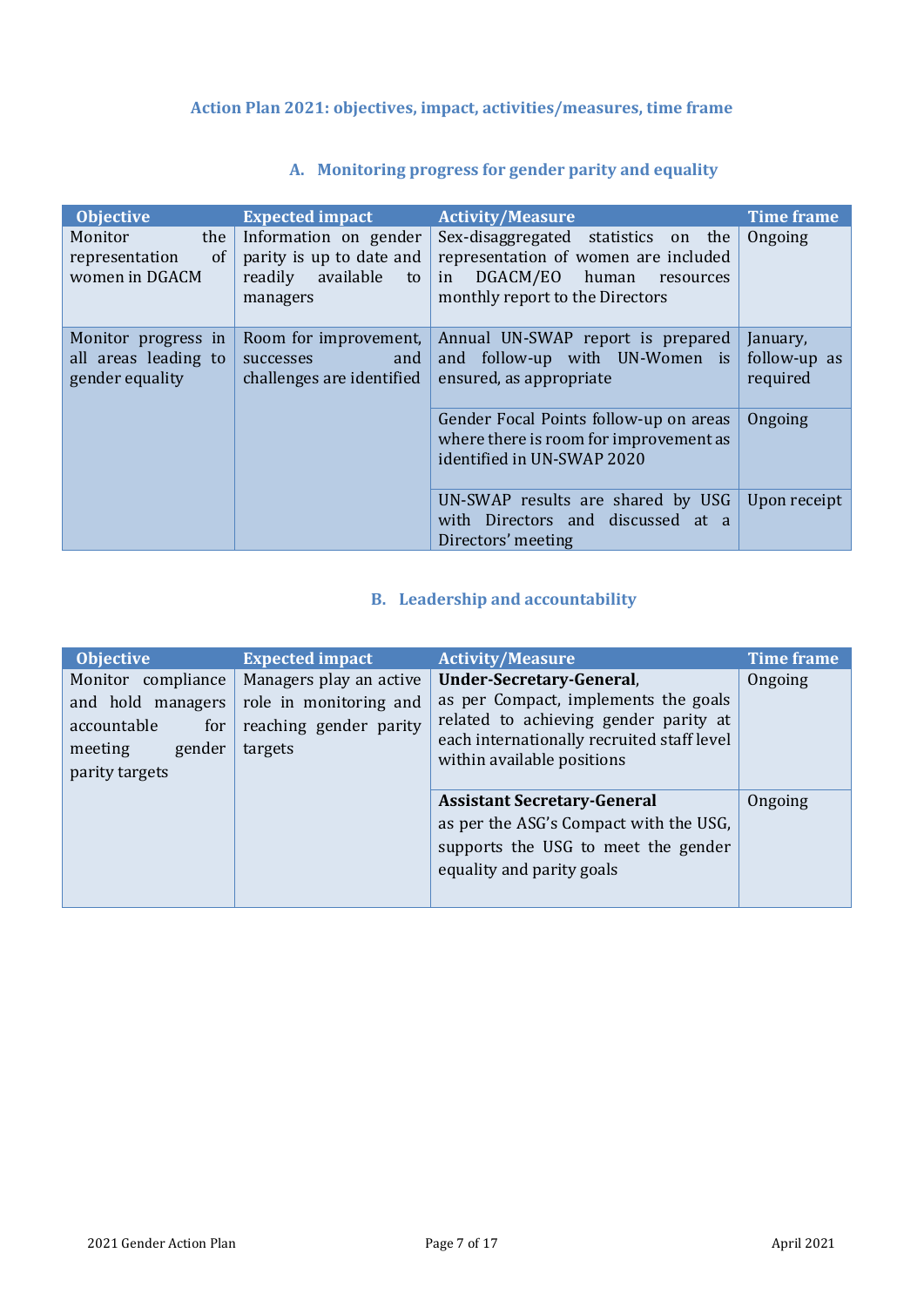## <span id="page-6-0"></span>**Action Plan 2021: objectives, impact, activities/measures, time frame**

<span id="page-6-1"></span>

| <b>Objective</b>                                                    | <b>Expected impact</b>                                                                      | <b>Activity/Measure</b>                                                                                                                                | <b>Time frame</b>                    |
|---------------------------------------------------------------------|---------------------------------------------------------------------------------------------|--------------------------------------------------------------------------------------------------------------------------------------------------------|--------------------------------------|
| Monitor<br>the<br><sub>of</sub><br>representation<br>women in DGACM | Information on gender<br>parity is up to date and<br>available<br>readily<br>to<br>managers | Sex-disaggregated statistics<br>on the<br>representation of women are included<br>DGACM/EO human<br>in<br>resources<br>monthly report to the Directors | Ongoing                              |
| Monitor progress in<br>all areas leading to<br>gender equality      | Room for improvement,<br>successes<br>and<br>challenges are identified                      | Annual UN-SWAP report is prepared<br>and follow-up with UN-Women is<br>ensured, as appropriate                                                         | January,<br>follow-up as<br>required |
|                                                                     |                                                                                             | Gender Focal Points follow-up on areas<br>where there is room for improvement as<br>identified in UN-SWAP 2020                                         | Ongoing                              |
|                                                                     |                                                                                             | UN-SWAP results are shared by USG<br>with Directors and discussed at a<br>Directors' meeting                                                           | Upon receipt                         |

## **A. Monitoring progress for gender parity and equality**

## **B. Leadership and accountability**

<span id="page-6-2"></span>

| <b>Objective</b>                                                                                     | <b>Expected impact</b>                                                                 | <b>Activity/Measure</b>                                                                                                                                                               | <b>Time frame</b> |
|------------------------------------------------------------------------------------------------------|----------------------------------------------------------------------------------------|---------------------------------------------------------------------------------------------------------------------------------------------------------------------------------------|-------------------|
| Monitor compliance<br>and hold managers<br>accountable<br>for<br>gender<br>meeting<br>parity targets | Managers play an active<br>role in monitoring and<br>reaching gender parity<br>targets | Under-Secretary-General,<br>as per Compact, implements the goals<br>related to achieving gender parity at<br>each internationally recruited staff level<br>within available positions | Ongoing           |
|                                                                                                      |                                                                                        | <b>Assistant Secretary-General</b><br>as per the ASG's Compact with the USG,<br>supports the USG to meet the gender<br>equality and parity goals                                      | Ongoing           |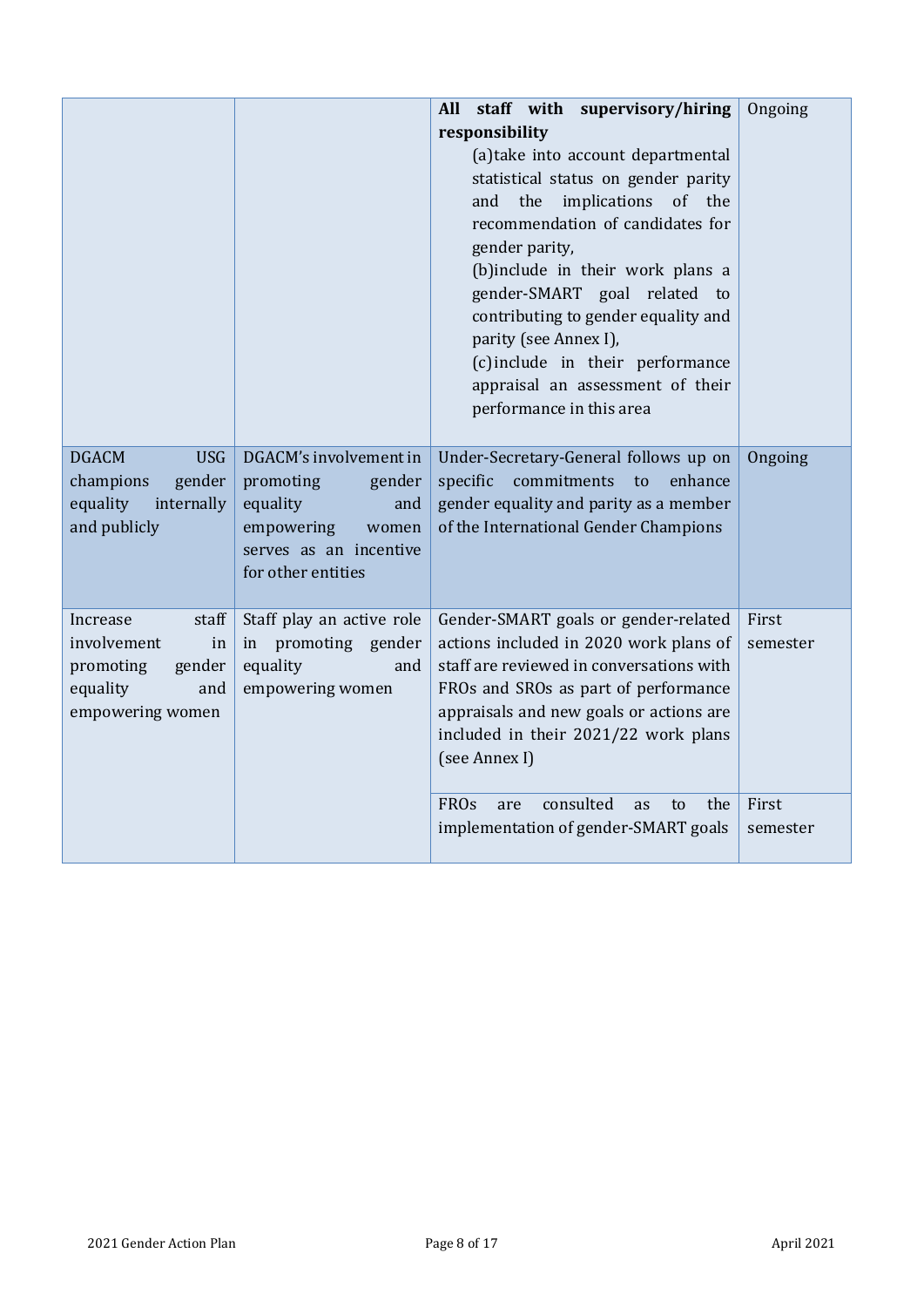|                                                                                                      |                                                                                                                                         | staff with supervisory/hiring<br><b>All</b><br>responsibility<br>(a) take into account departmental<br>statistical status on gender parity<br>implications<br>of<br>and<br>the<br>the<br>recommendation of candidates for<br>gender parity,<br>(b)include in their work plans a<br>gender-SMART goal related to<br>contributing to gender equality and<br>parity (see Annex I),<br>(c) include in their performance<br>appraisal an assessment of their<br>performance in this area | Ongoing           |
|------------------------------------------------------------------------------------------------------|-----------------------------------------------------------------------------------------------------------------------------------------|-------------------------------------------------------------------------------------------------------------------------------------------------------------------------------------------------------------------------------------------------------------------------------------------------------------------------------------------------------------------------------------------------------------------------------------------------------------------------------------|-------------------|
| <b>DGACM</b><br><b>USG</b><br>gender<br>champions<br>equality<br>internally<br>and publicly          | DGACM's involvement in<br>promoting<br>gender<br>equality<br>and<br>empowering<br>women<br>serves as an incentive<br>for other entities | Under-Secretary-General follows up on<br>commitments<br>specific<br>to<br>enhance<br>gender equality and parity as a member<br>of the International Gender Champions                                                                                                                                                                                                                                                                                                                | Ongoing           |
| staff<br>Increase<br>involvement<br>in<br>promoting<br>gender<br>equality<br>and<br>empowering women | Staff play an active role<br>promoting gender<br>in<br>equality<br>and<br>empowering women                                              | Gender-SMART goals or gender-related<br>actions included in 2020 work plans of<br>staff are reviewed in conversations with<br>FROs and SROs as part of performance<br>appraisals and new goals or actions are<br>included in their 2021/22 work plans<br>(see Annex I)                                                                                                                                                                                                              | First<br>semester |
|                                                                                                      |                                                                                                                                         | consulted<br><b>FROs</b><br>the<br>are<br>as<br>to<br>implementation of gender-SMART goals                                                                                                                                                                                                                                                                                                                                                                                          | First<br>semester |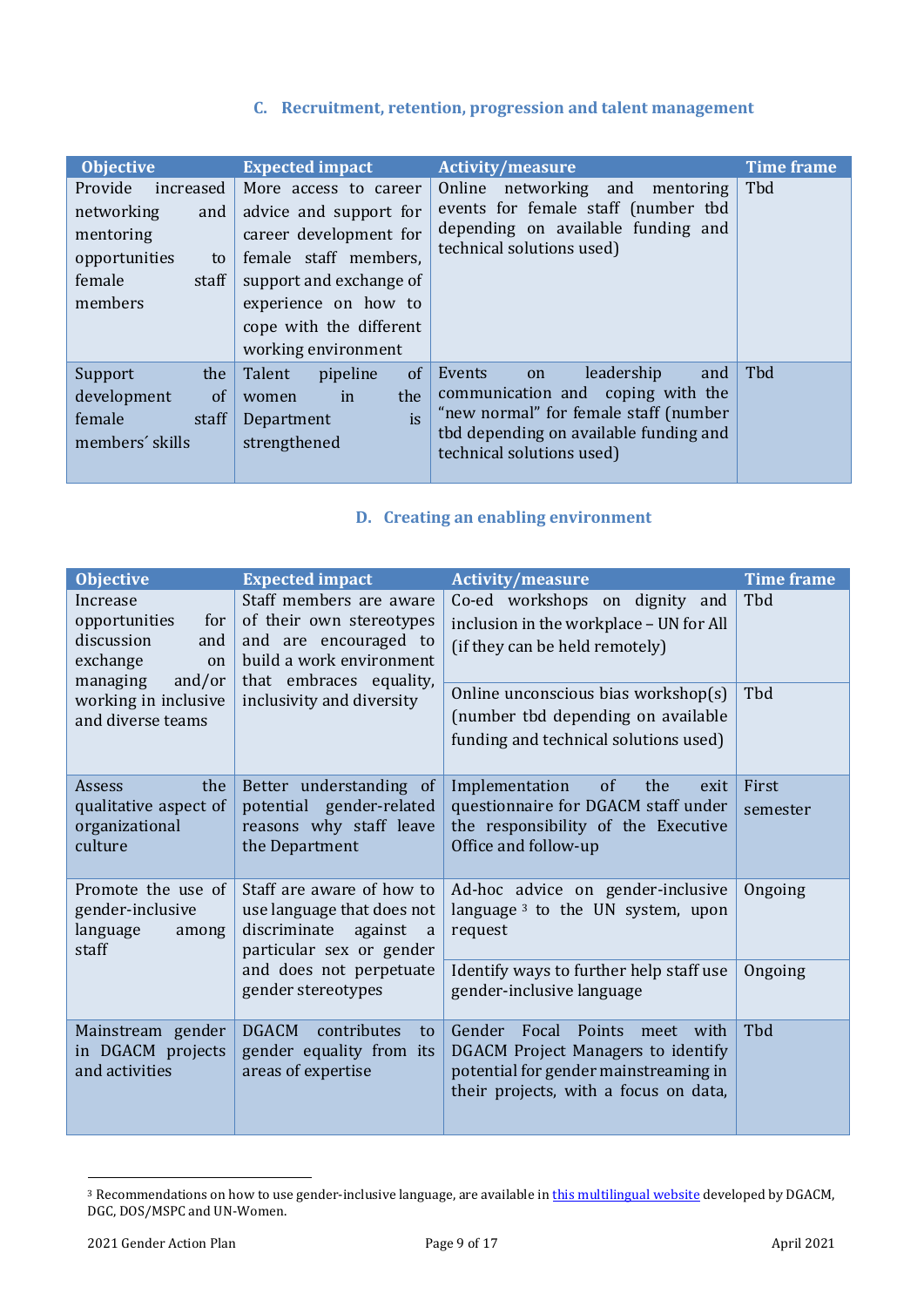## **C. Recruitment, retention, progression and talent management**

<span id="page-8-0"></span>

| <b>Objective</b>                                                                                            | <b>Expected impact</b>                                                                                                                                                                                  | <b>Activity/measure</b>                                                                                                                                                                | <b>Time frame</b> |
|-------------------------------------------------------------------------------------------------------------|---------------------------------------------------------------------------------------------------------------------------------------------------------------------------------------------------------|----------------------------------------------------------------------------------------------------------------------------------------------------------------------------------------|-------------------|
| Provide<br>increased<br>networking<br>and<br>mentoring<br>opportunities<br>to<br>female<br>staff<br>members | More access to career<br>advice and support for<br>career development for<br>female staff members,<br>support and exchange of<br>experience on how to<br>cope with the different<br>working environment | Online<br>networking and<br>mentoring<br>events for female staff (number tbd<br>depending on available funding and<br>technical solutions used)                                        | Tbd               |
| Support<br>the<br>development<br>of<br>female<br>staff<br>members' skills                                   | of<br>Talent<br>pipeline<br>the<br>in<br>women<br>is<br>Department<br>strengthened                                                                                                                      | leadership<br>Events<br>and<br>on<br>communication and coping with the<br>"new normal" for female staff (number<br>tbd depending on available funding and<br>technical solutions used) | Tbd               |

## **D. Creating an enabling environment**

<span id="page-8-1"></span>

| <b>Objective</b>                                                        | <b>Expected impact</b>                                                                                                                                               | <b>Activity/measure</b>                                                                                                                                  | <b>Time frame</b> |
|-------------------------------------------------------------------------|----------------------------------------------------------------------------------------------------------------------------------------------------------------------|----------------------------------------------------------------------------------------------------------------------------------------------------------|-------------------|
| Increase<br>opportunities<br>for<br>discussion<br>and<br>exchange<br>on | Staff members are aware<br>of their own stereotypes<br>and are encouraged to<br>build a work environment<br>that embraces equality,                                  | Co-ed workshops on dignity and<br>inclusion in the workplace - UN for All<br>(if they can be held remotely)                                              | Tbd               |
| managing<br>and/or<br>working in inclusive<br>and diverse teams         | inclusivity and diversity                                                                                                                                            | Online unconscious bias workshop(s)<br>(number tbd depending on available<br>funding and technical solutions used)                                       | Tbd               |
| Assess<br>the<br>qualitative aspect of<br>organizational<br>culture     | Better understanding of<br>potential gender-related<br>reasons why staff leave<br>the Department                                                                     | of<br>the<br>Implementation<br>exit<br>questionnaire for DGACM staff under<br>the responsibility of the Executive<br>Office and follow-up                | First<br>semester |
| Promote the use of<br>gender-inclusive<br>language<br>among<br>staff    | Staff are aware of how to<br>use language that does not<br>discriminate<br>against<br>a<br>particular sex or gender<br>and does not perpetuate<br>gender stereotypes | Ad-hoc advice on gender-inclusive<br>language $3$ to the UN system, upon<br>request                                                                      | Ongoing           |
|                                                                         |                                                                                                                                                                      | Identify ways to further help staff use<br>gender-inclusive language                                                                                     | Ongoing           |
| Mainstream gender<br>in DGACM projects<br>and activities                | <b>DGACM</b><br>contributes<br>to<br>gender equality from its<br>areas of expertise                                                                                  | Gender Focal Points<br>meet with<br>DGACM Project Managers to identify<br>potential for gender mainstreaming in<br>their projects, with a focus on data, | Tbd               |

<sup>&</sup>lt;sup>3</sup> Recommendations on how to use gender-inclusive language, are available in **this multilingual website** developed by DGACM, DGC, DOS/MSPC and UN-Women.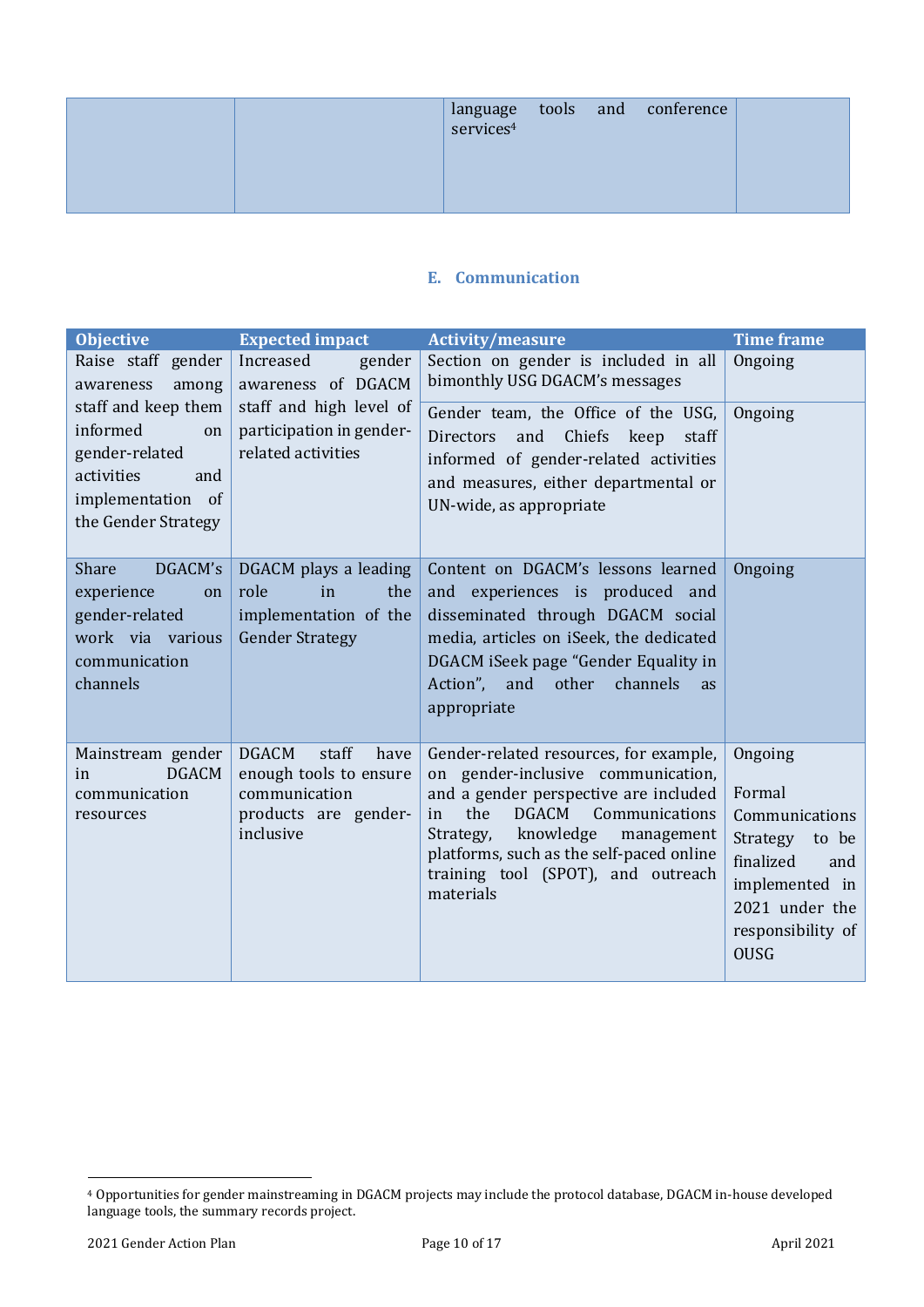|  |  | $\begin{array}{ l c c }\hline \text{language} & \text{tools} & \text{and} & \text{conference} \\ \hline \text{services}^4 & & & \\\hline \end{array}$ |  |
|--|--|-------------------------------------------------------------------------------------------------------------------------------------------------------|--|
|  |  |                                                                                                                                                       |  |

#### **E. Communication**

<span id="page-9-0"></span>

| <b>Objective</b>                                                                                                         | <b>Expected impact</b>                                                                                        | <b>Activity/measure</b>                                                                                                                                                                                                                                                                                     | <b>Time frame</b>                                                                                                                                    |
|--------------------------------------------------------------------------------------------------------------------------|---------------------------------------------------------------------------------------------------------------|-------------------------------------------------------------------------------------------------------------------------------------------------------------------------------------------------------------------------------------------------------------------------------------------------------------|------------------------------------------------------------------------------------------------------------------------------------------------------|
| Raise staff gender<br>awareness<br>among                                                                                 | Increased<br>gender<br>awareness of DGACM                                                                     | Section on gender is included in all<br>bimonthly USG DGACM's messages                                                                                                                                                                                                                                      | Ongoing                                                                                                                                              |
| staff and keep them<br>informed<br>on<br>gender-related<br>activities<br>and<br>implementation of<br>the Gender Strategy | staff and high level of<br>participation in gender-<br>related activities                                     | Gender team, the Office of the USG,<br>and Chiefs keep<br>Directors<br>staff<br>informed of gender-related activities<br>and measures, either departmental or<br>UN-wide, as appropriate                                                                                                                    | Ongoing                                                                                                                                              |
| DGACM's<br>Share<br>experience<br>on<br>gender-related<br>work via various<br>communication<br>channels                  | DGACM plays a leading<br>role<br>in<br>the<br>implementation of the<br><b>Gender Strategy</b>                 | Content on DGACM's lessons learned<br>and experiences is produced and<br>disseminated through DGACM social<br>media, articles on iSeek, the dedicated<br>DGACM iSeek page "Gender Equality in<br>Action", and<br>channels<br>other<br><b>as</b><br>appropriate                                              | Ongoing                                                                                                                                              |
| Mainstream gender<br><b>DGACM</b><br>in<br>communication<br>resources                                                    | <b>DGACM</b><br>staff<br>have<br>enough tools to ensure<br>communication<br>products are gender-<br>inclusive | Gender-related resources, for example,<br>on gender-inclusive communication,<br>and a gender perspective are included<br><b>DGACM</b><br>Communications<br>the<br>in<br>knowledge<br>Strategy,<br>management<br>platforms, such as the self-paced online<br>training tool (SPOT), and outreach<br>materials | Ongoing<br>Formal<br>Communications<br>Strategy<br>to be<br>finalized<br>and<br>implemented in<br>2021 under the<br>responsibility of<br><b>OUSG</b> |

<sup>4</sup> Opportunities for gender mainstreaming in DGACM projects may include the protocol database, DGACM in-house developed language tools, the summary records project.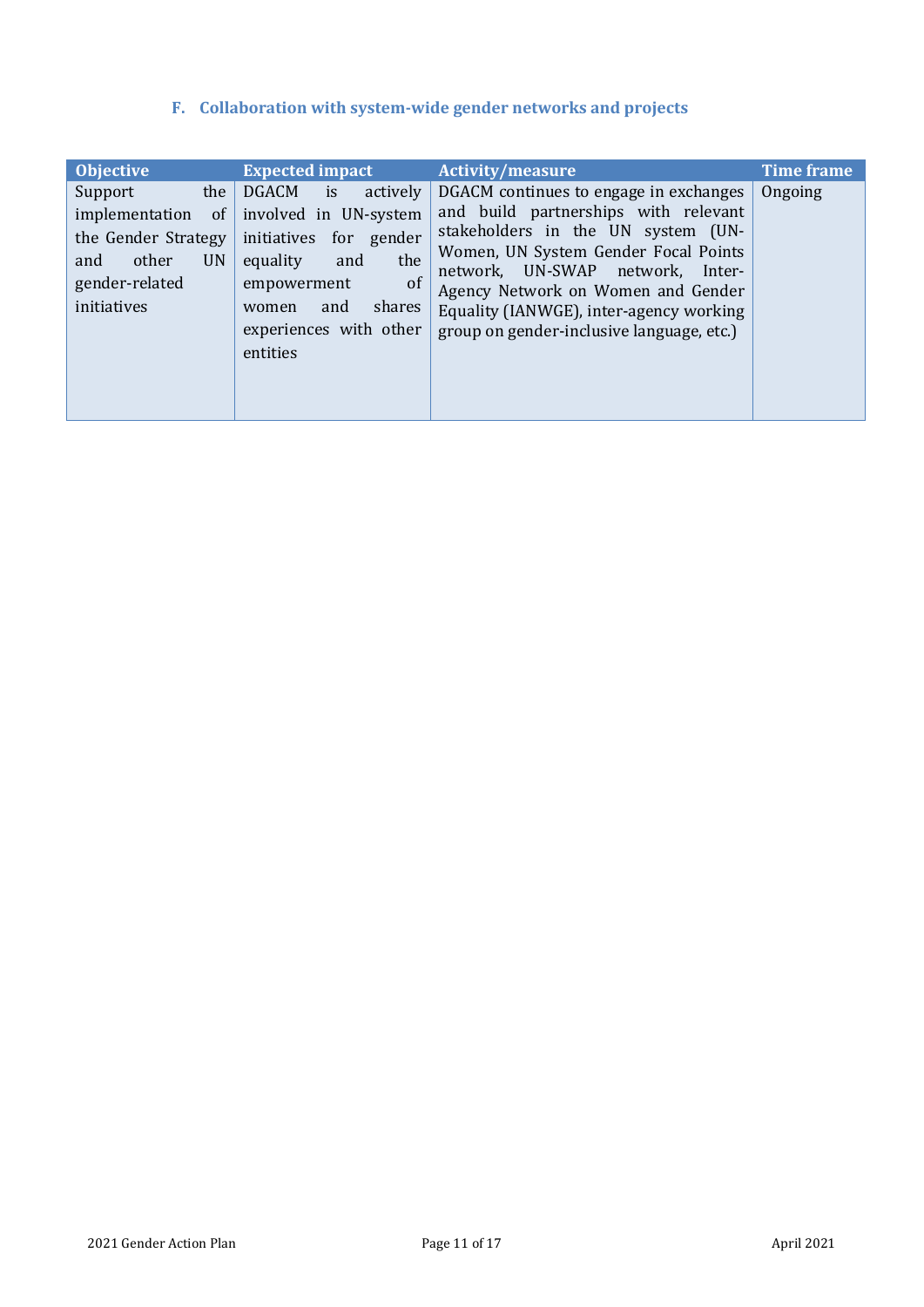## **F. Collaboration with system-wide gender networks and projects**

<span id="page-10-0"></span>

| <b>Objective</b>                                                                                                                       | <b>Expected impact</b>                                                                                                                                                                 | <b>Activity/measure</b>                                                                                                                                                                                                                                                                                                           | <b>Time frame</b> |
|----------------------------------------------------------------------------------------------------------------------------------------|----------------------------------------------------------------------------------------------------------------------------------------------------------------------------------------|-----------------------------------------------------------------------------------------------------------------------------------------------------------------------------------------------------------------------------------------------------------------------------------------------------------------------------------|-------------------|
| the<br>Support<br><sub>of</sub><br>implementation<br>the Gender Strategy<br><b>UN</b><br>and<br>other<br>gender-related<br>initiatives | DGACM is<br>actively<br>involved in UN-system<br>initiatives for gender<br>the<br>equality<br>and<br>of<br>empowerment<br>shares<br>and<br>women<br>experiences with other<br>entities | DGACM continues to engage in exchanges<br>and build partnerships with relevant<br>stakeholders in the UN system (UN-<br>Women, UN System Gender Focal Points<br>network, UN-SWAP network,<br>Inter-<br>Agency Network on Women and Gender<br>Equality (IANWGE), inter-agency working<br>group on gender-inclusive language, etc.) | Ongoing           |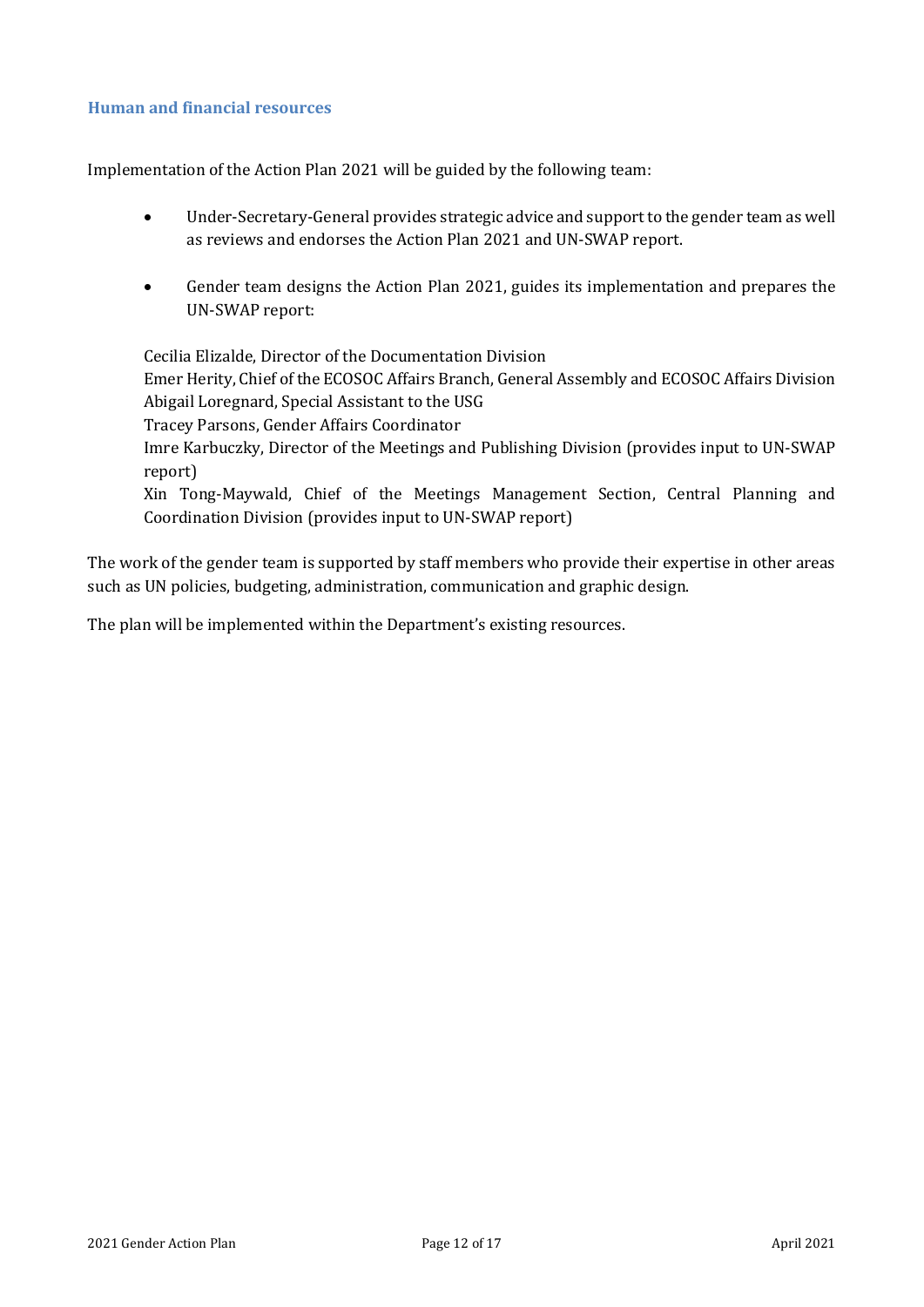#### <span id="page-11-0"></span>**Human and financial resources**

Implementation of the Action Plan 2021 will be guided by the following team:

- Under-Secretary-General provides strategic advice and support to the gender team as well as reviews and endorses the Action Plan 2021 and UN-SWAP report.
- Gender team designs the Action Plan 2021, guides its implementation and prepares the UN-SWAP report:

Cecilia Elizalde, Director of the Documentation Division Emer Herity, Chief of the ECOSOC Affairs Branch, General Assembly and ECOSOC Affairs Division Abigail Loregnard, Special Assistant to the USG Tracey Parsons, Gender Affairs Coordinator Imre Karbuczky, Director of the Meetings and Publishing Division (provides input to UN-SWAP report) Xin Tong-Maywald, Chief of the Meetings Management Section, Central Planning and Coordination Division (provides input to UN-SWAP report)

The work of the gender team is supported by staff members who provide their expertise in other areas such as UN policies, budgeting, administration, communication and graphic design.

The plan will be implemented within the Department's existing resources.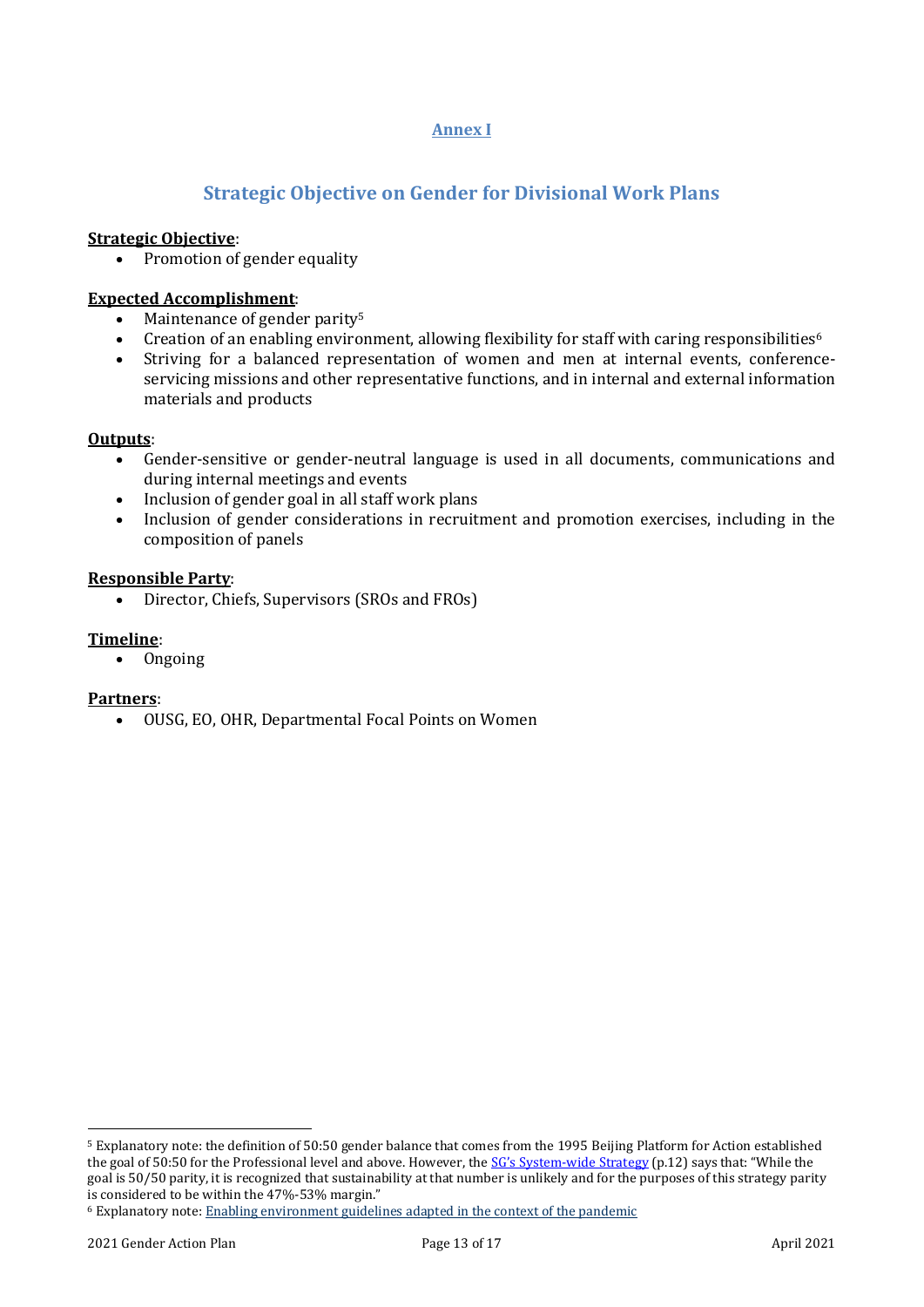#### **Annex I**

## **Strategic Objective on Gender for Divisional Work Plans**

#### <span id="page-12-1"></span><span id="page-12-0"></span>**Strategic Objective**:

• Promotion of gender equality

#### **Expected Accomplishment**:

- Maintenance of gender parity<sup>5</sup>
- Creation of an enabling environment, allowing flexibility for staff with caring responsibilities<sup>6</sup>
- Striving for a balanced representation of women and men at internal events, conferenceservicing missions and other representative functions, and in internal and external information materials and products

#### **Outputs**:

- Gender-sensitive or gender-neutral language is used in all documents, communications and during internal meetings and events
- Inclusion of gender goal in all staff work plans
- Inclusion of gender considerations in recruitment and promotion exercises, including in the composition of panels

#### **Responsible Party**:

• Director, Chiefs, Supervisors (SROs and FROs)

#### **Timeline**:

• Ongoing

#### **Partners**:

• OUSG, EO, OHR, Departmental Focal Points on Women

<sup>5</sup> Explanatory note: the definition of 50:50 gender balance that comes from the 1995 Beijing Platform for Action established the goal of 50:50 for the Professional level and above. However, the SG's System[-wide Strategy](https://nam01.safelinks.protection.outlook.com/?url=https%3A%2F%2Fwww.un.org%2Fgender%2Fsites%2Fwww.un.org.gender%2Ffiles%2Fgender_parity_strategy_october_2017.pdf&data=02%7C01%7C%7Cace2540235be49278c3008d7f206badf%7C2bcd07449e18487d85c3c9a325220be8%7C0%7C0%7C637243983038558659&sdata=T9XknlfI5vEX1Oy%2FZ3sXGuUmd0QUDdcZigMHNxV2saM%3D&reserved=0) (p.12) says that: "While the goal is 50/50 parity, it is recognized that sustainability at that number is unlikely and for the purposes of this strategy parity is considered to be within the 47%-53% margin."

<sup>6</sup> Explanatory note[: Enabling environment guidelines adapted in the context of the pandemic](https://www.unwomen.org/-/media/headquarters/attachments/sections/library/publications/2020/brief-ten-ways-to-create-an-enabling-environment-during-covid-19-en.pdf?la=en&vs=5037)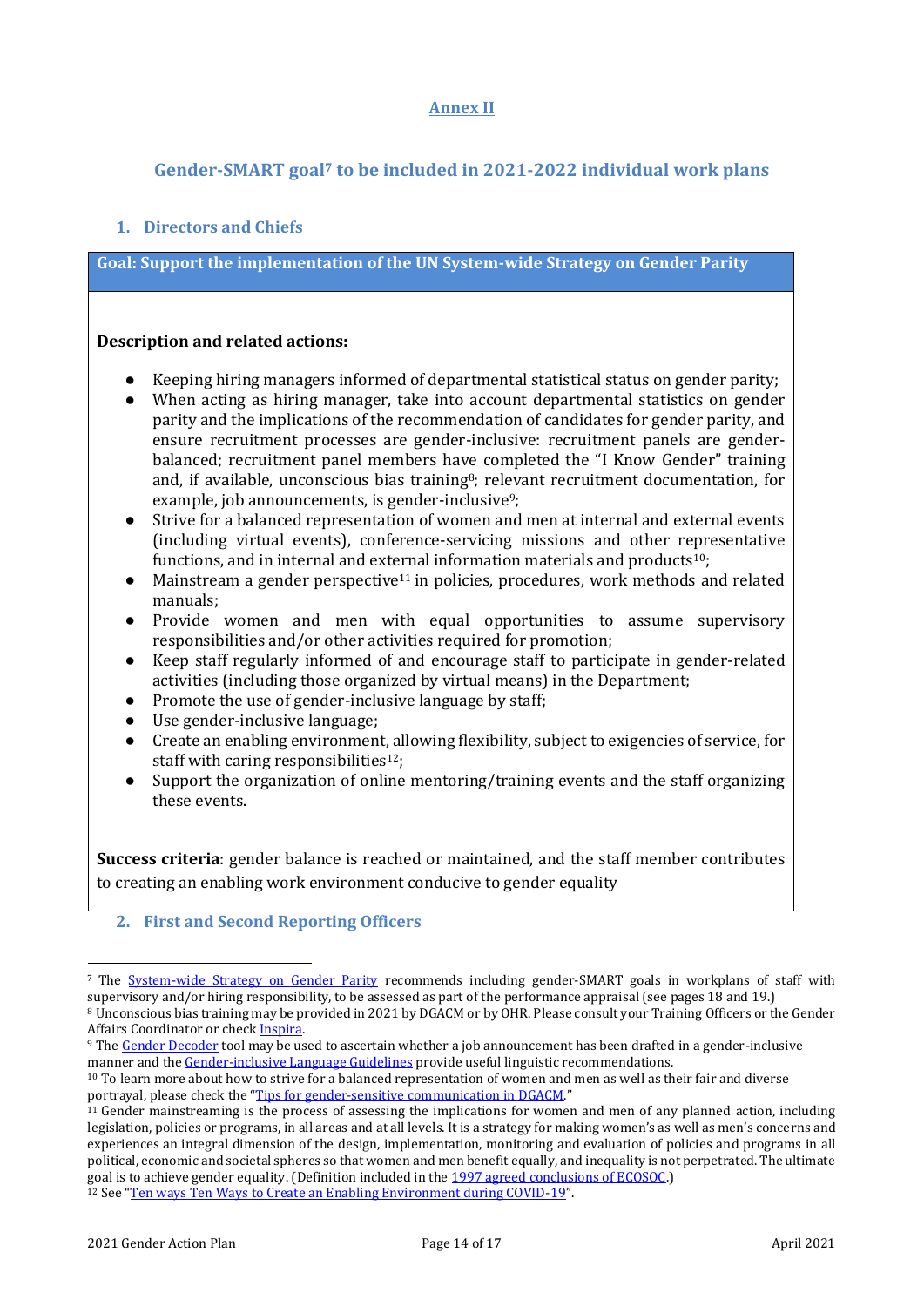#### **Annex II**

## <span id="page-13-0"></span>**Gender-SMART goal<sup>7</sup> to be included in 2021-2022 individual work plans**

#### <span id="page-13-1"></span>**1. Directors and Chiefs**

**Goal: Support the implementation of the UN System-wide Strategy on Gender Parity** 

#### **Description and related actions:**

- Keeping hiring managers informed of departmental statistical status on gender parity;
- When acting as hiring manager, take into account departmental statistics on gender parity and the implications of the recommendation of candidates for gender parity, and ensure recruitment processes are gender-inclusive: recruitment panels are genderbalanced; recruitment panel members have completed the "I Know Gender" training and, if available, unconscious bias training<sup>8</sup>; relevant recruitment documentation, for example, job announcements, is gender-inclusive<sup>9</sup>;
- Strive for a balanced representation of women and men at internal and external events (including virtual events), conference-servicing missions and other representative functions, and in internal and external information materials and products<sup>10</sup>;
- $\bullet$  Mainstream a gender perspective<sup>11</sup> in policies, procedures, work methods and related manuals;
- Provide women and men with equal opportunities to assume supervisory responsibilities and/or other activities required for promotion;
- Keep staff regularly informed of and encourage staff to participate in gender-related activities (including those organized by virtual means) in the Department;
- Promote the use of gender-inclusive language by staff;
- Use gender-inclusive language;
- Create an enabling environment, allowing flexibility, subject to exigencies of service, for staff with caring responsibilities<sup>12</sup>:
- Support the organization of online mentoring/training events and the staff organizing these events.

**Success criteria**: gender balance is reached or maintained, and the staff member contributes to creating an enabling work environment conducive to gender equality

#### **2. First and Second Reporting Officers**

<sup>7</sup> The [System-wide Strategy on Gender Parity](https://iseek-newyork.un.org/system/files/17-00102b_gender_strategy_report_13_sept_2017.pdf) recommends including gender-SMART goals in workplans of staff with supervisory and/or hiring responsibility, to be assessed as part of the performance appraisal (see pages 18 and 19.)

<sup>8</sup> Unconscious bias training may be provided in 2021 by DGACM or by OHR. Please consult your Training Officers or the Gender Affairs Coordinator or chec[k Inspira.](https://inspira.un.org/psp/PUNA1J/?cmd=login&languageCd=ENG)

<sup>&</sup>lt;sup>9</sup> Th[e Gender Decoder](http://gender-decoder.katmatfield.com/) tool may be used to ascertain whether a job announcement has been drafted in a gender-inclusive manner and th[e Gender-inclusive Language Guidelines](https://www.un.org/en/gender-inclusive-language/) provide useful linguistic recommendations.

<sup>10</sup> To learn more about how to strive for a balanced representation of women and men as well as their fair and diverse portrayal, please check the "[Tips for gender-sensitive communication in DGACM](https://iseek-newyork.un.org/system/files/tips_for_gender-sensitive_communication_in_dgacm.pdf)."

 $11$  Gender mainstreaming is the process of assessing the implications for women and men of any planned action, including legislation, policies or programs, in all areas and at all levels. It is a strategy for making women's as well as men's concerns and experiences an integral dimension of the design, implementation, monitoring and evaluation of policies and programs in all political, economic and societal spheres so that women and men benefit equally, and inequality is not perpetrated. The ultimate goal is to achieve gender equality. (Definition included in the [1997 agreed conclusions of ECOSOC.\)](http://www.un.org/womenwatch/daw/csw/GMS.PDF) <sup>12</sup> See "[Ten ways Ten Ways to Create an Enabling Environment during COVID-19](https://www.unwomen.org/-/media/headquarters/attachments/sections/library/publications/2020/brief-ten-ways-to-create-an-enabling-environment-during-covid-19-en.pdf?la=en&vs=1045)".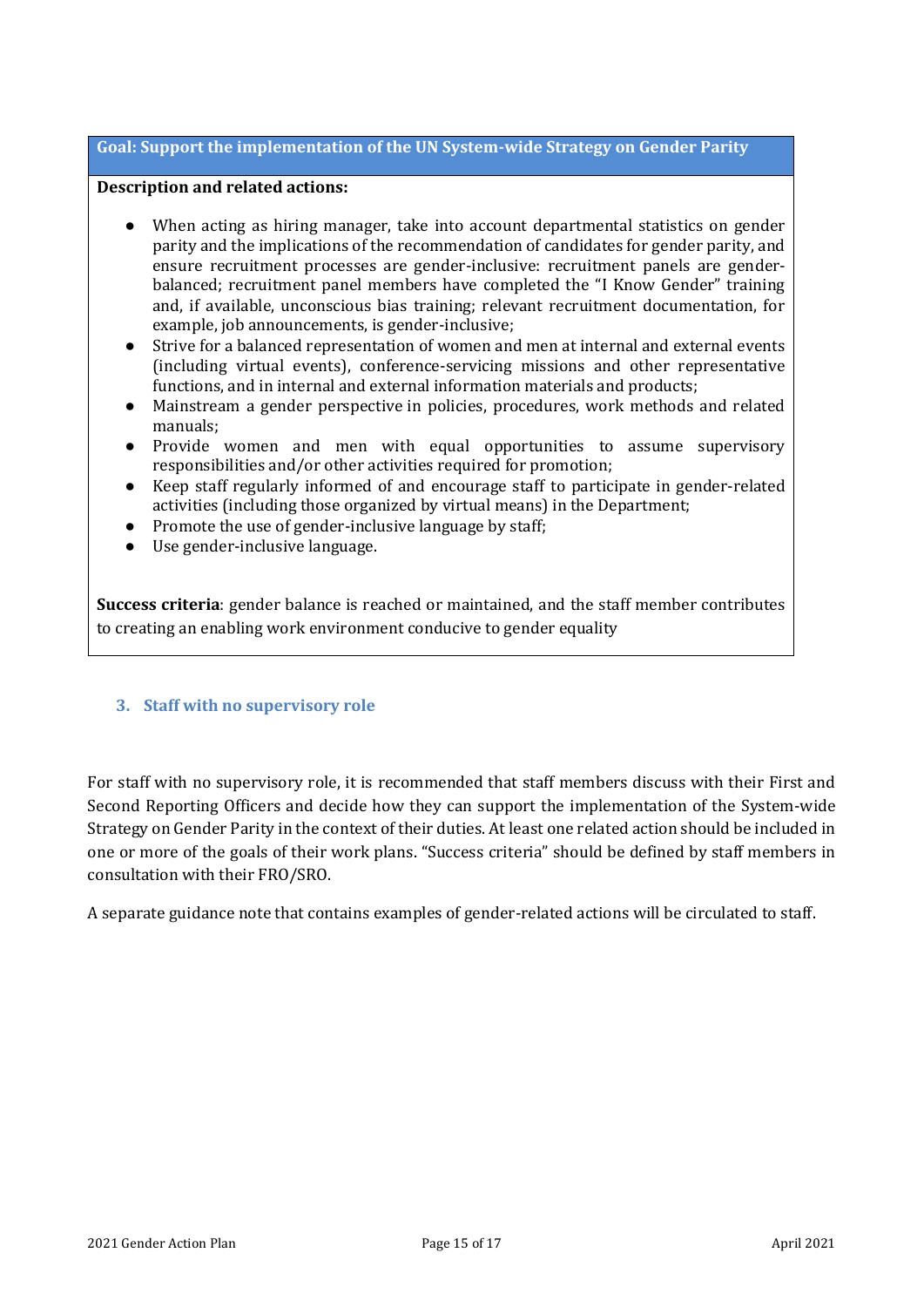#### **Goal: Support the implementation of the UN System-wide Strategy on Gender Parity**

#### **Description and related actions:**

- When acting as hiring manager, take into account departmental statistics on gender parity and the implications of the recommendation of candidates for gender parity, and ensure recruitment processes are gender-inclusive: recruitment panels are genderbalanced; recruitment panel members have completed the "I Know Gender" training and, if available, unconscious bias training; relevant recruitment documentation, for example, job announcements, is gender-inclusive;
- Strive for a balanced representation of women and men at internal and external events (including virtual events), conference-servicing missions and other representative functions, and in internal and external information materials and products;
- Mainstream a gender perspective in policies, procedures, work methods and related manuals;
- Provide women and men with equal opportunities to assume supervisory responsibilities and/or other activities required for promotion;
- Keep staff regularly informed of and encourage staff to participate in gender-related activities (including those organized by virtual means) in the Department;
- Promote the use of gender-inclusive language by staff;
- Use gender-inclusive language.

**Success criteria**: gender balance is reached or maintained, and the staff member contributes to creating an enabling work environment conducive to gender equality

#### **3. Staff with no supervisory role**

For staff with no supervisory role, it is recommended that staff members discuss with their First and Second Reporting Officers and decide how they can support the implementation of the System-wide Strategy on Gender Parity in the context of their duties. At least one related action should be included in one or more of the goals of their work plans. "Success criteria" should be defined by staff members in consultation with their FRO/SRO.

A separate guidance note that contains examples of gender-related actions will be circulated to staff.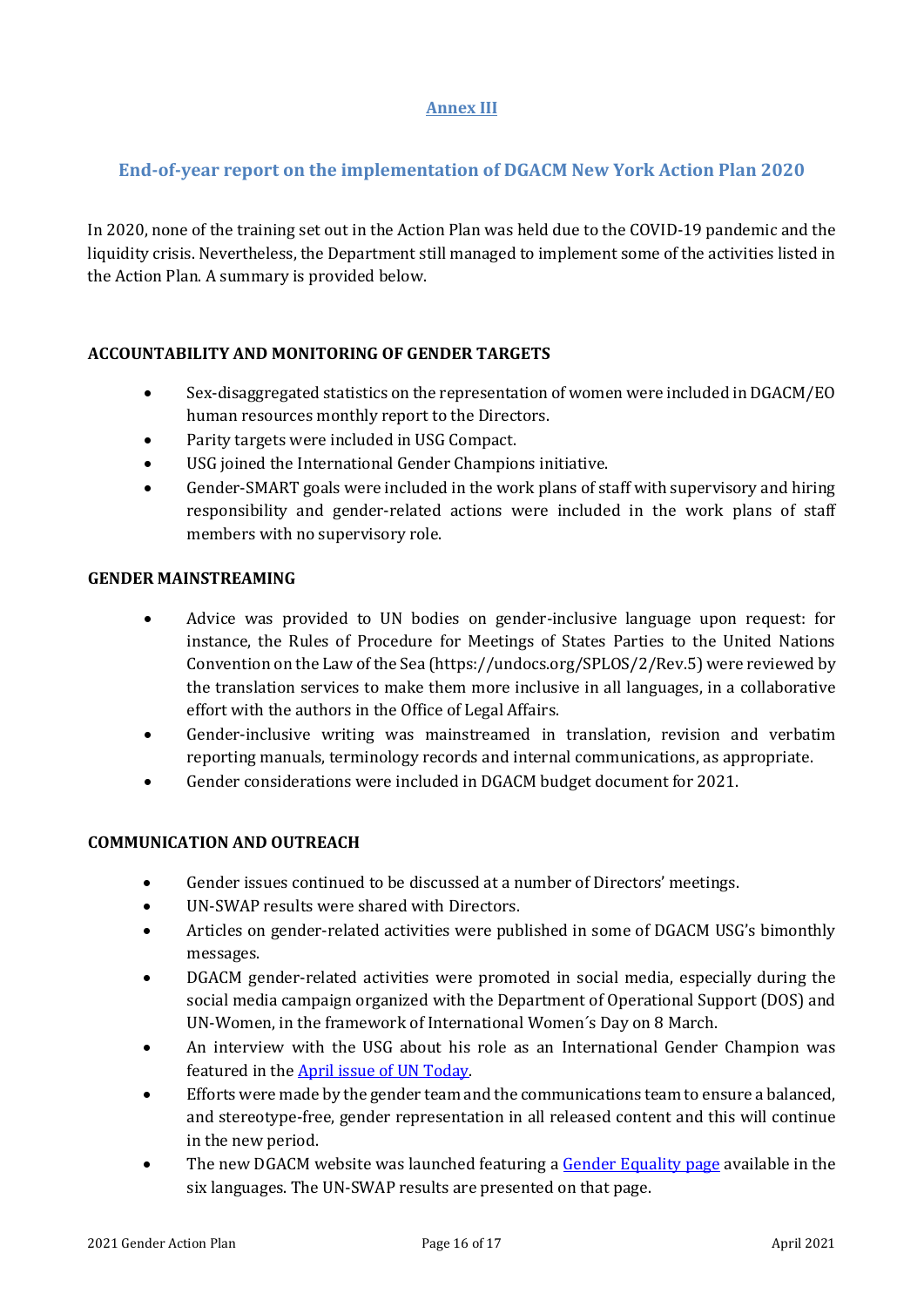### **Annex III**

## **End-of-year report on the implementation of DGACM New York Action Plan 2020**

In 2020, none of the training set out in the Action Plan was held due to the COVID-19 pandemic and the liquidity crisis. Nevertheless, the Department still managed to implement some of the activities listed in the Action Plan. A summary is provided below.

#### **ACCOUNTABILITY AND MONITORING OF GENDER TARGETS**

- Sex-disaggregated statistics on the representation of women were included in DGACM/EO human resources monthly report to the Directors.
- Parity targets were included in USG Compact.
- USG joined the International Gender Champions initiative.
- Gender-SMART goals were included in the work plans of staff with supervisory and hiring responsibility and gender-related actions were included in the work plans of staff members with no supervisory role.

#### **GENDER MAINSTREAMING**

- Advice was provided to UN bodies on gender-inclusive language upon request: for instance, the Rules of Procedure for Meetings of States Parties to the United Nations Convention on the Law of the Sea (https://undocs.org/SPLOS/2/Rev.5) were reviewed by the translation services to make them more inclusive in all languages, in a collaborative effort with the authors in the Office of Legal Affairs.
- Gender-inclusive writing was mainstreamed in translation, revision and verbatim reporting manuals, terminology records and internal communications, as appropriate.
- Gender considerations were included in DGACM budget document for 2021.

### **COMMUNICATION AND OUTREACH**

- Gender issues continued to be discussed at a number of Directors' meetings.
- UN-SWAP results were shared with Directors.
- Articles on gender-related activities were published in some of DGACM USG's bimonthly messages.
- DGACM gender-related activities were promoted in social media, especially during the social media campaign organized with the Department of Operational Support (DOS) and UN-Women, in the framework of International Women´s Day on 8 March.
- An interview with the USG about his role as an International Gender Champion was featured in the [April issue of UN Today.](https://untoday.org/movses-abelian-under-secretary-general-for-general-assembly-and-conference-management/)
- Efforts were made by the gender team and the communications team to ensure a balanced, and stereotype-free, gender representation in all released content and this will continue in the new period.
- The new DGACM website was launched featuring a [Gender Equality page](https://www.un.org/dgacm/en/content/gender-equality) available in the six languages. The UN-SWAP results are presented on that page.